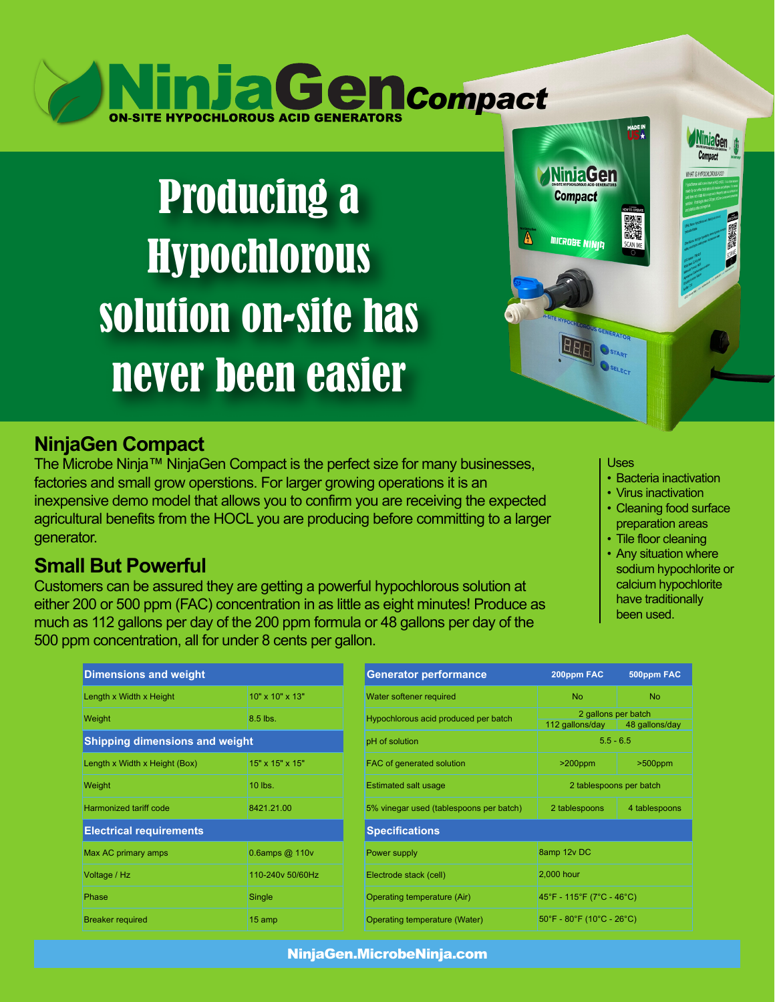# **NinjaGencompact**

## Producing a Hypochlorous solution on-site has never been easier

### **NinjaGen Compact**

The Microbe Ninja™ NinjaGen Compact is the perfect size for many businesses, factories and small grow operstions. For larger growing operations it is an inexpensive demo model that allows you to confirm you are receiving the expected agricultural benefits from the HOCL you are producing before committing to a larger generator.

### **Small But Powerful**

Customers can be assured they are getting a powerful hypochlorous solution at either 200 or 500 ppm (FAC) concentration in as little as eight minutes! Produce as much as 112 gallons per day of the 200 ppm formula or 48 gallons per day of the 500 ppm concentration, all for under 8 cents per gallon.

#### Uses

IS GENERATOR **O**STADT SELECT

**NinjaGen** 

**Compact** 

**MICROBE NINID** 

• Bacteria inactivation

ie uvennu norviewn

- Virus inactivation
- Cleaning food surface preparation areas
- Tile floor cleaning
- Any situation where sodium hypochlorite or calcium hypochlorite have traditionally been used.

| <b>Dimensions and weight</b>          |                      | <b>Generator performance</b>          |  |
|---------------------------------------|----------------------|---------------------------------------|--|
| Length x Width x Height               | 10" x 10" x 13"      | Water softener required               |  |
| <b>Weight</b>                         | 8.5 lbs.             | Hypochlorous acid produced per batch  |  |
| <b>Shipping dimensions and weight</b> |                      | pH of solution                        |  |
| Length x Width x Height (Box)         | 15" x 15" x 15"      | FAC of generated solution             |  |
| Weight                                | 10 lbs.              | <b>Estimated salt usage</b>           |  |
| Harmonized tariff code                | 8421.21.00           | 5% vinegar used (tablespoons per batc |  |
| <b>Electrical requirements</b>        |                      | <b>Specifications</b>                 |  |
| Max AC primary amps                   | $0.6$ amps @ 110 $v$ | Power supply                          |  |
| Voltage / Hz                          | 110-240v 50/60Hz     | Electrode stack (cell)                |  |
| Phase                                 | Single               | Operating temperature (Air)           |  |
| <b>Breaker required</b>               | 15 amp               | Operating temperature (Water)         |  |

| <b>Dimensions and weight</b>          |                      | <b>Generator performance</b>            | 200ppm FAC                                                           | 500ppm FAC    |  |
|---------------------------------------|----------------------|-----------------------------------------|----------------------------------------------------------------------|---------------|--|
| Length x Width x Height               | 10" x 10" x 13"      | Water softener required                 | <b>No</b>                                                            | <b>No</b>     |  |
| Weight                                | 8.5 lbs.             | Hypochlorous acid produced per batch    | 2 gallons per batch<br>112 gallons/day<br>48 gallons/day             |               |  |
| <b>Shipping dimensions and weight</b> |                      | pH of solution                          | $5.5 - 6.5$                                                          |               |  |
| Length x Width x Height (Box)         | 15" x 15" x 15"      | FAC of generated solution               | $>200$ ppm                                                           | $>500$ ppm    |  |
| Weight                                | 10 lbs.              | <b>Estimated salt usage</b>             | 2 tablespoons per batch                                              |               |  |
| <b>Harmonized tariff code</b>         | 8421.21.00           | 5% vinegar used (tablespoons per batch) | 2 tablespoons                                                        | 4 tablespoons |  |
| <b>Electrical requirements</b>        |                      | <b>Specifications</b>                   |                                                                      |               |  |
| Max AC primary amps                   | $0.6$ amps @ 110 $v$ | Power supply                            | 8amp 12v DC                                                          |               |  |
| Voltage / Hz                          | 110-240v 50/60Hz     | Electrode stack (cell)                  | 2,000 hour                                                           |               |  |
| Phase                                 | Single               | Operating temperature (Air)             | 45°F - 115°F (7°C - 46°C)                                            |               |  |
| <b>Breaker required</b>               | 15 amp               | Operating temperature (Water)           | $50^{\circ}$ F - 80 $^{\circ}$ F (10 $^{\circ}$ C - 26 $^{\circ}$ C) |               |  |

NinjaGen.MicrobeNinja.com